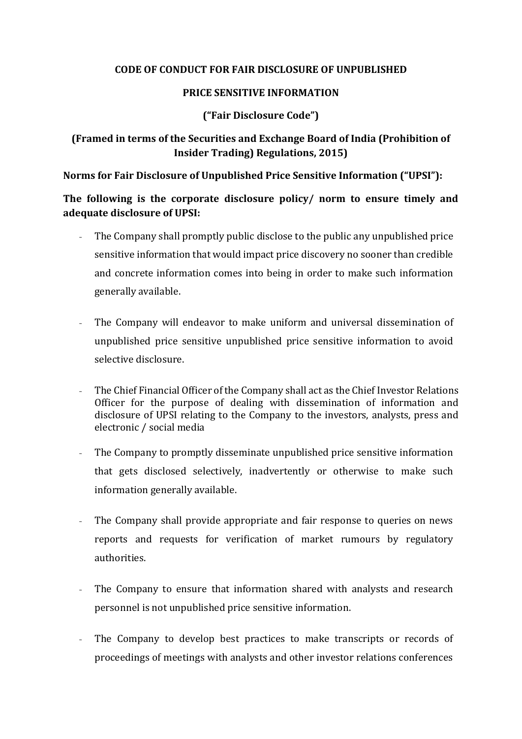#### **CODE OF CONDUCT FOR FAIR DISCLOSURE OF UNPUBLISHED**

### **PRICE SENSITIVE INFORMATION**

### **("Fair Disclosure Code")**

# **(Framed in terms of the Securities and Exchange Board of India (Prohibition of Insider Trading) Regulations, 2015)**

**Norms for Fair Disclosure of Unpublished Price Sensitive Information ("UPSI"):**

**The following is the corporate disclosure policy/ norm to ensure timely and adequate disclosure of UPSI:**

- The Company shall promptly public disclose to the public any unpublished price sensitive information that would impact price discovery no sooner than credible and concrete information comes into being in order to make such information generally available.
- The Company will endeavor to make uniform and universal dissemination of unpublished price sensitive unpublished price sensitive information to avoid selective disclosure.
- The Chief Financial Officer of the Company shall act as the Chief Investor Relations Officer for the purpose of dealing with dissemination of information and disclosure of UPSI relating to the Company to the investors, analysts, press and electronic / social media
- The Company to promptly disseminate unpublished price sensitive information that gets disclosed selectively, inadvertently or otherwise to make such information generally available.
- The Company shall provide appropriate and fair response to queries on news reports and requests for verification of market rumours by regulatory authorities.
- The Company to ensure that information shared with analysts and research personnel is not unpublished price sensitive information.
- The Company to develop best practices to make transcripts or records of proceedings of meetings with analysts and other investor relations conferences